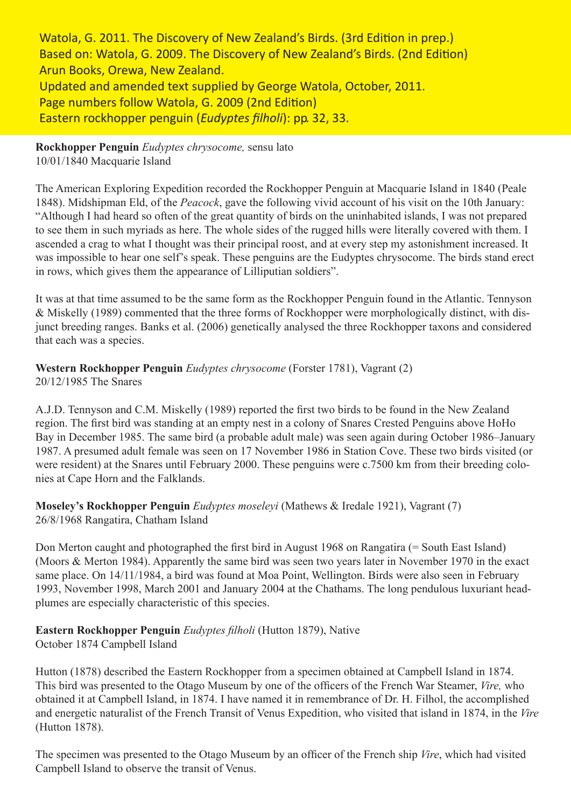Watola, G. 2011. The Discovery of New Zealand's Birds. (3rd Edition in prep.) Based on: Watola, G. 2009. The Discovery of New Zealand's Birds. (2nd Edition) Arun Books, Orewa, New Zealand. Updated and amended text supplied by George Watola, October, 2011. Page numbers follow Watola, G. 2009 (2nd Edition) Eastern rockhopper penguin (*Eudyptes fi lholi*): pp. 32, 33.

**Rockhopper Penguin** *Eudyptes chrysocome,* sensu lato 10/01/1840 Macquarie Island

The American Exploring Expedition recorded the Rockhopper Penguin at Macquarie Island in 1840 (Peale 1848). Midshipman Eld, of the *Peacock*, gave the following vivid account of his visit on the 10th January: "Although I had heard so often of the great quantity of birds on the uninhabited islands, I was not prepared to see them in such myriads as here. The whole sides of the rugged hills were literally covered with them. I ascended a crag to what I thought was their principal roost, and at every step my astonishment increased. It was impossible to hear one self's speak. These penguins are the Eudyptes chrysocome. The birds stand erect in rows, which gives them the appearance of Lilliputian soldiers".

It was at that time assumed to be the same form as the Rockhopper Penguin found in the Atlantic. Tennyson & Miskelly (1989) commented that the three forms of Rockhopper were morphologically distinct, with disjunct breeding ranges. Banks et al. (2006) genetically analysed the three Rockhopper taxons and considered that each was a species.